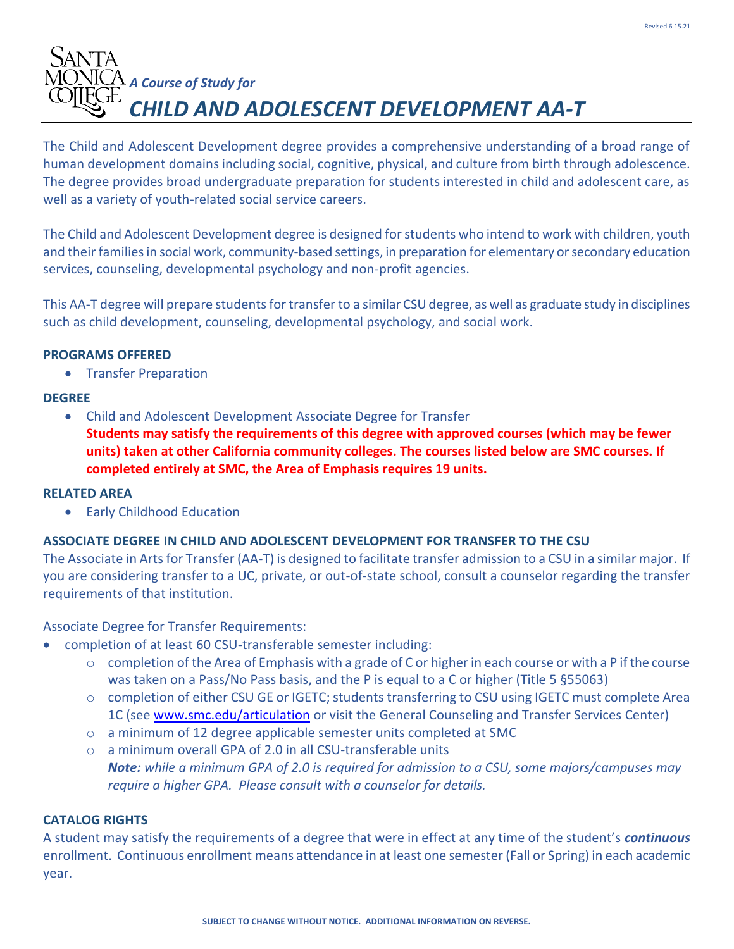# *A Course of Study for CHILD AND ADOLESCENT DEVELOPMENT AA-T*

The Child and Adolescent Development degree provides a comprehensive understanding of a broad range of human development domains including social, cognitive, physical, and culture from birth through adolescence. The degree provides broad undergraduate preparation for students interested in child and adolescent care, as well as a variety of youth-related social service careers.

The Child and Adolescent Development degree is designed for students who intend to work with children, youth and their families in social work, community-based settings, in preparation for elementary or secondary education services, counseling, developmental psychology and non-profit agencies.

This AA-T degree will prepare students for transfer to a similar CSU degree, as well as graduate study in disciplines such as child development, counseling, developmental psychology, and social work.

#### **PROGRAMS OFFERED**

• Transfer Preparation

#### **DEGREE**

- Child and Adolescent Development Associate Degree for Transfer
	- **Students may satisfy the requirements of this degree with approved courses (which may be fewer units) taken at other California community colleges. The courses listed below are SMC courses. If completed entirely at SMC, the Area of Emphasis requires 19 units.**

# **RELATED AREA**

• Early Childhood Education

# **ASSOCIATE DEGREE IN CHILD AND ADOLESCENT DEVELOPMENT FOR TRANSFER TO THE CSU**

The Associate in Arts for Transfer (AA-T) is designed to facilitate transfer admission to a CSU in a similar major. If you are considering transfer to a UC, private, or out-of-state school, consult a counselor regarding the transfer requirements of that institution.

# Associate Degree for Transfer Requirements:

- completion of at least 60 CSU-transferable semester including:
	- o completion of the Area of Emphasis with a grade of C or higher in each course or with a P if the course was taken on a Pass/No Pass basis, and the P is equal to a C or higher (Title 5 §55063)
	- o completion of either CSU GE or IGETC; students transferring to CSU using IGETC must complete Area 1C (see [www.smc.edu/articulation](http://www.smc.edu/articulation) or visit the General Counseling and Transfer Services Center)
	- o a minimum of 12 degree applicable semester units completed at SMC

o a minimum overall GPA of 2.0 in all CSU-transferable units *Note: while a minimum GPA of 2.0 is required for admission to a CSU, some majors/campuses may require a higher GPA. Please consult with a counselor for details.*

# **CATALOG RIGHTS**

A student may satisfy the requirements of a degree that were in effect at any time of the student's *continuous*  enrollment. Continuous enrollment means attendance in at least one semester (Fall or Spring) in each academic year.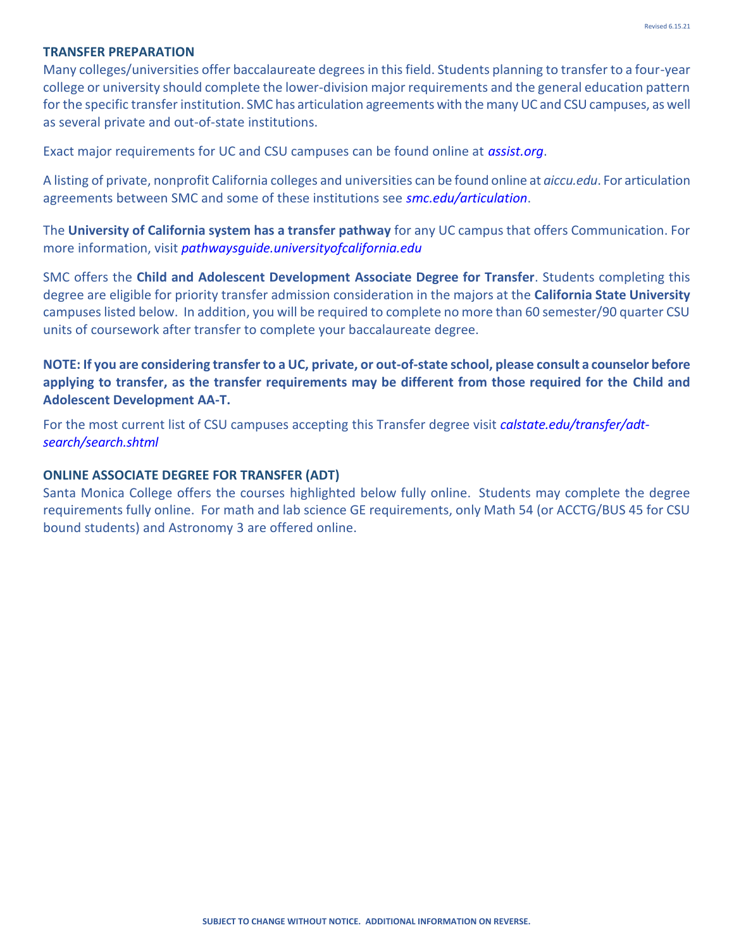#### **TRANSFER PREPARATION**

Many colleges/universities offer baccalaureate degrees in this field. Students planning to transfer to a four-year college or university should complete the lower-division major requirements and the general education pattern for the specific transfer institution. SMC has articulation agreements with the many UC and CSU campuses, as well as several private and out-of-state institutions.

Exact major requirements for UC and CSU campuses can be found online at *assist.org*.

A listing of private, nonprofit California colleges and universities can be found online at *aiccu.edu*. For articulation agreements between SMC and some of these institutions see *smc.edu/articulation*.

The **University of California system has a transfer pathway** for any UC campus that offers Communication. For more information, visit *pathwaysguide.universityofcalifornia.edu*

SMC offers the **Child and Adolescent Development Associate Degree for Transfer**. Students completing this degree are eligible for priority transfer admission consideration in the majors at the **California State University**  campuses listed below. In addition, you will be required to complete no more than 60 semester/90 quarter CSU units of coursework after transfer to complete your baccalaureate degree.

**NOTE: If you are considering transfer to a UC, private, or out-of-state school, please consult a counselor before applying to transfer, as the transfer requirements may be different from those required for the Child and Adolescent Development AA-T.**

For the most current list of CSU campuses accepting this Transfer degree visit *calstate.edu/transfer/adtsearch/search.shtml* 

#### **ONLINE ASSOCIATE DEGREE FOR TRANSFER (ADT)**

Santa Monica College offers the courses highlighted below fully online. Students may complete the degree requirements fully online. For math and lab science GE requirements, only Math 54 (or ACCTG/BUS 45 for CSU bound students) and Astronomy 3 are offered online.